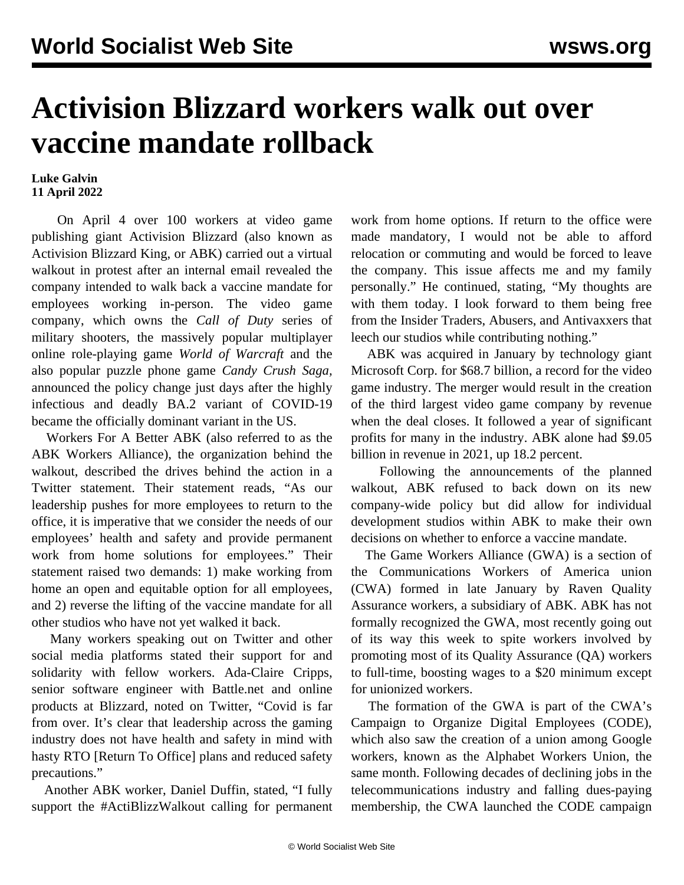## **Activision Blizzard workers walk out over vaccine mandate rollback**

## **Luke Galvin 11 April 2022**

 On April 4 over 100 workers at video game publishing giant Activision Blizzard (also known as Activision Blizzard King, or ABK) carried out a virtual walkout in protest after an internal email revealed the company intended to walk back a vaccine mandate for employees working in-person. The video game company, which owns the *Call of Duty* series of military shooters, the massively popular multiplayer online role-playing game *World of Warcraft* and the also popular puzzle phone game *Candy Crush Saga,* announced the policy change just days after the highly infectious and deadly BA.2 variant of COVID-19 became the officially dominant variant in the US.

 Workers For A Better ABK (also referred to as the ABK Workers Alliance), the organization behind the walkout, described the drives behind the action in a Twitter statement. Their statement reads, "As our leadership pushes for more employees to return to the office, it is imperative that we consider the needs of our employees' health and safety and provide permanent work from home solutions for employees." Their statement raised two demands: 1) make working from home an open and equitable option for all employees, and 2) reverse the lifting of the vaccine mandate for all other studios who have not yet walked it back.

 Many workers speaking out on Twitter and other social media platforms stated their support for and solidarity with fellow workers. Ada-Claire Cripps, senior software engineer with Battle.net and online products at Blizzard, noted on Twitter, "Covid is far from over. It's clear that leadership across the gaming industry does not have health and safety in mind with hasty RTO [Return To Office] plans and reduced safety precautions."

 Another ABK worker, Daniel Duffin, stated, "I fully support the #ActiBlizzWalkout calling for permanent work from home options. If return to the office were made mandatory, I would not be able to afford relocation or commuting and would be forced to leave the company. This issue affects me and my family personally." He continued, stating, "My thoughts are with them today. I look forward to them being free from the Insider Traders, Abusers, and Antivaxxers that leech our studios while contributing nothing."

 ABK was acquired in January by technology giant Microsoft Corp. for \$68.7 billion, a record for the video game industry. The merger would result in the creation of the third largest video game company by revenue when the deal closes. It followed a year of significant profits for many in the industry. ABK alone had \$9.05 billion in revenue in 2021, up 18.2 percent.

 Following the announcements of the planned walkout, ABK refused to back down on its new company-wide policy but did allow for individual development studios within ABK to make their own decisions on whether to enforce a vaccine mandate.

 The Game Workers Alliance (GWA) is a section of the Communications Workers of America union (CWA) formed in late January by Raven Quality Assurance workers, a subsidiary of ABK. ABK has not formally recognized the GWA, most recently going out of its way this week to spite workers involved by promoting most of its Quality Assurance (QA) workers to full-time, boosting wages to a \$20 minimum except for unionized workers.

 The formation of the GWA is part of the CWA's Campaign to Organize Digital Employees (CODE), which also saw the creation of a union among Google workers, known as the Alphabet Workers Union, the same month. Following decades of declining jobs in the telecommunications industry and falling dues-paying membership, the CWA launched the CODE campaign